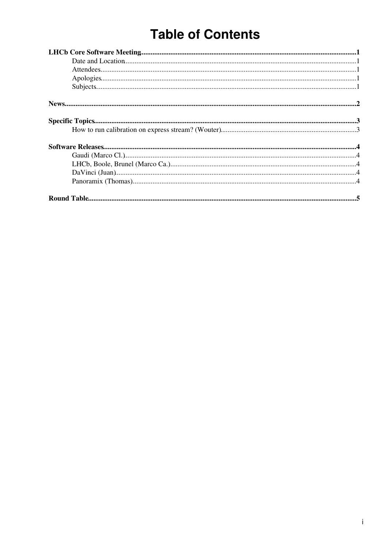# **Table of Contents**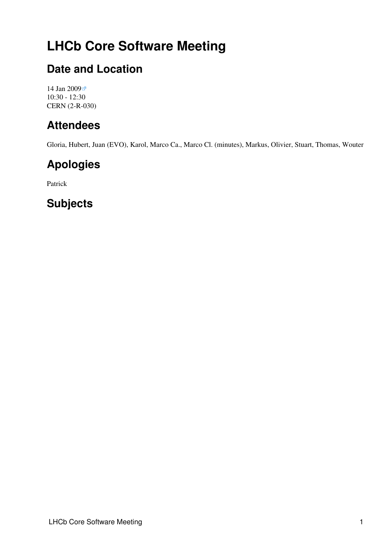# <span id="page-1-0"></span>**LHCb Core Software Meeting**

### <span id="page-1-1"></span>**Date and Location**

[14 Jan 2009](http://indico.cern.ch/conferenceDisplay.py?confId=41647) 10:30 - 12:30 CERN (2-R-030)

### <span id="page-1-2"></span>**Attendees**

Gloria, Hubert, Juan (EVO), Karol, Marco Ca., Marco Cl. (minutes), Markus, Olivier, Stuart, Thomas, Wouter

## <span id="page-1-3"></span>**Apologies**

Patrick

## <span id="page-1-4"></span>**Subjects**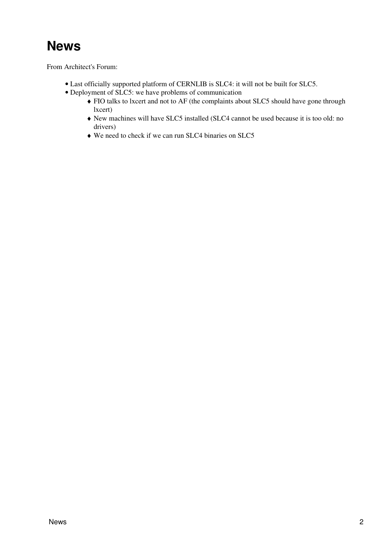# <span id="page-2-0"></span>**News**

From Architect's Forum:

- Last officially supported platform of CERNLIB is SLC4: it will not be built for SLC5.
- Deployment of SLC5: we have problems of communication
	- FIO talks to lxcert and not to AF (the complaints about SLC5 should have gone through ♦ lxcert)
	- New machines will have SLC5 installed (SLC4 cannot be used because it is too old: no ♦ drivers)
	- ♦ We need to check if we can run SLC4 binaries on SLC5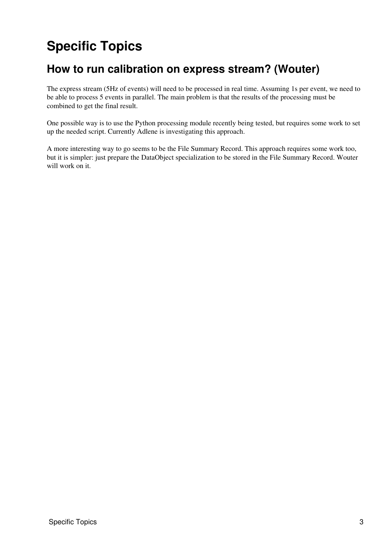# <span id="page-3-0"></span>**Specific Topics**

### <span id="page-3-1"></span>**How to run calibration on express stream? (Wouter)**

The express stream (5Hz of events) will need to be processed in real time. Assuming 1s per event, we need to be able to process 5 events in parallel. The main problem is that the results of the processing must be combined to get the final result.

One possible way is to use the Python processing module recently being tested, but requires some work to set up the needed script. Currently Adlene is investigating this approach.

A more interesting way to go seems to be the File Summary Record. This approach requires some work too, but it is simpler: just prepare the DataObject specialization to be stored in the File Summary Record. Wouter will work on it.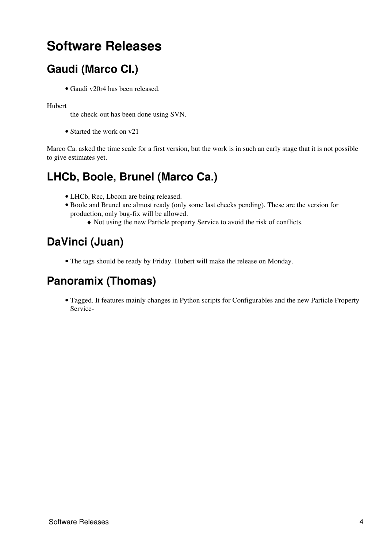# <span id="page-4-0"></span>**Software Releases**

## <span id="page-4-1"></span>**Gaudi (Marco Cl.)**

• Gaudi v20r4 has been released.

### Hubert

the check-out has been done using SVN.

• Started the work on v21

Marco Ca. asked the time scale for a first version, but the work is in such an early stage that it is not possible to give estimates yet.

### <span id="page-4-2"></span>**LHCb, Boole, Brunel (Marco Ca.)**

- LHCb, Rec, Lbcom are being released.
- Boole and Brunel are almost ready (only some last checks pending). These are the version for production, only bug-fix will be allowed.
	- ♦ Not using the new Particle property Service to avoid the risk of conflicts.

## <span id="page-4-3"></span>**DaVinci (Juan)**

• The tags should be ready by Friday. Hubert will make the release on Monday.

### <span id="page-4-4"></span>**Panoramix (Thomas)**

Tagged. It features mainly changes in Python scripts for Configurables and the new Particle Property • Service-